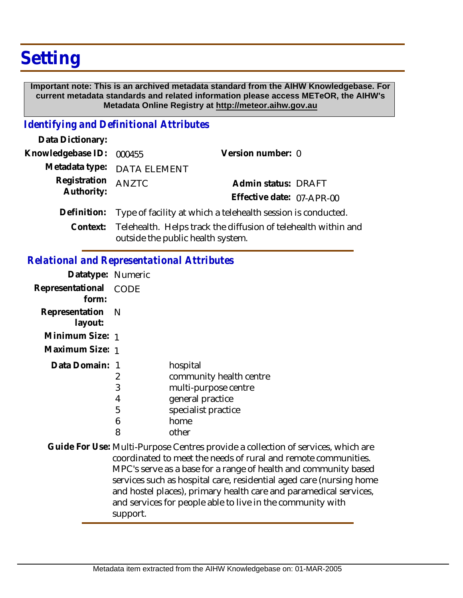# **Setting**

 **Important note: This is an archived metadata standard from the AIHW Knowledgebase. For current metadata standards and related information please access METeOR, the AIHW's Metadata Online Registry at http://meteor.aihw.gov.au**

### *Identifying and Definitional Attributes*

| Data Dictionary:         |                                                                                                              |                           |  |
|--------------------------|--------------------------------------------------------------------------------------------------------------|---------------------------|--|
| Knowledgebase ID: 000455 |                                                                                                              | Version number: 0         |  |
|                          | Metadata type: DATA ELEMENT                                                                                  |                           |  |
| Registration             | AN7TC                                                                                                        | Admin status: DRAFT       |  |
| Authority:               |                                                                                                              | Effective date: 07-APR-00 |  |
|                          | Definition: Type of facility at which a telehealth session is conducted.                                     |                           |  |
|                          | Context: Telehealth. Helps track the diffusion of telehealth within and<br>outside the public health system. |                           |  |

### *Relational and Representational Attributes*

| Datatype: Numeric           |      |                                     |
|-----------------------------|------|-------------------------------------|
| Representational<br>form:   | CODE |                                     |
| Representation N<br>layout: |      |                                     |
| Minimum Size: 1             |      |                                     |
| Maximum Size: 1             |      |                                     |
| Data Domain: 1              | 2    | hospital<br>community health centre |
|                             | 3    | multi-purpose centre                |
|                             | 4    | general practice                    |
|                             | 5    | specialist practice                 |
|                             | 6    | home                                |
|                             | 8    | other                               |

Guide For Use: Multi-Purpose Centres provide a collection of services, which are coordinated to meet the needs of rural and remote communities. MPC's serve as a base for a range of health and community based services such as hospital care, residential aged care (nursing home and hostel places), primary health care and paramedical services, and services for people able to live in the community with support.